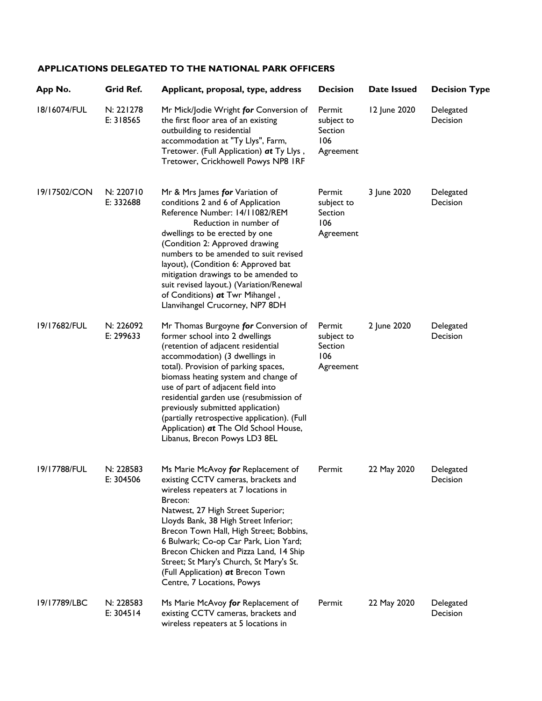## **APPLICATIONS DELEGATED TO THE NATIONAL PARK OFFICERS**

| App No.      | Grid Ref.              | Applicant, proposal, type, address                                                                                                                                                                                                                                                                                                                                                                                                                                             | <b>Decision</b>                                     | Date Issued  | <b>Decision Type</b>  |
|--------------|------------------------|--------------------------------------------------------------------------------------------------------------------------------------------------------------------------------------------------------------------------------------------------------------------------------------------------------------------------------------------------------------------------------------------------------------------------------------------------------------------------------|-----------------------------------------------------|--------------|-----------------------|
| 18/16074/FUL | N: 221278<br>E: 318565 | Mr Mick/Jodie Wright for Conversion of<br>the first floor area of an existing<br>outbuilding to residential<br>accommodation at "Ty Llys", Farm,<br>Tretower. (Full Application) at Ty Llys,<br>Tretower, Crickhowell Powys NP8 IRF                                                                                                                                                                                                                                            | Permit<br>subject to<br>Section<br>106<br>Agreement | 12 June 2020 | Delegated<br>Decision |
| 19/17502/CON | N: 220710<br>E: 332688 | Mr & Mrs James for Variation of<br>conditions 2 and 6 of Application<br>Reference Number: 14/11082/REM<br>Reduction in number of<br>dwellings to be erected by one<br>(Condition 2: Approved drawing<br>numbers to be amended to suit revised<br>layout), (Condition 6: Approved bat<br>mitigation drawings to be amended to<br>suit revised layout.) (Variation/Renewal<br>of Conditions) at Twr Mihangel,<br>Llanvihangel Crucorney, NP7 8DH                                 | Permit<br>subject to<br>Section<br>106<br>Agreement | 3 June 2020  | Delegated<br>Decision |
| 19/17682/FUL | N: 226092<br>E: 299633 | Mr Thomas Burgoyne for Conversion of<br>former school into 2 dwellings<br>(retention of adjacent residential<br>accommodation) (3 dwellings in<br>total). Provision of parking spaces,<br>biomass heating system and change of<br>use of part of adjacent field into<br>residential garden use (resubmission of<br>previously submitted application)<br>(partially retrospective application). (Full<br>Application) at The Old School House,<br>Libanus, Brecon Powys LD3 8EL | Permit<br>subject to<br>Section<br>106<br>Agreement | 2 June 2020  | Delegated<br>Decision |
| 19/17788/FUL | N: 228583<br>E: 304506 | Ms Marie McAvoy for Replacement of<br>existing CCTV cameras, brackets and<br>wireless repeaters at 7 locations in<br>Brecon:<br>Natwest, 27 High Street Superior;<br>Lloyds Bank, 38 High Street Inferior;<br>Brecon Town Hall, High Street; Bobbins,<br>6 Bulwark; Co-op Car Park, Lion Yard;<br>Brecon Chicken and Pizza Land, 14 Ship<br>Street; St Mary's Church, St Mary's St.<br>(Full Application) at Brecon Town<br>Centre, 7 Locations, Powys                         | Permit                                              | 22 May 2020  | Delegated<br>Decision |
| 19/17789/LBC | N: 228583<br>E: 304514 | Ms Marie McAvoy for Replacement of<br>existing CCTV cameras, brackets and<br>wireless repeaters at 5 locations in                                                                                                                                                                                                                                                                                                                                                              | Permit                                              | 22 May 2020  | Delegated<br>Decision |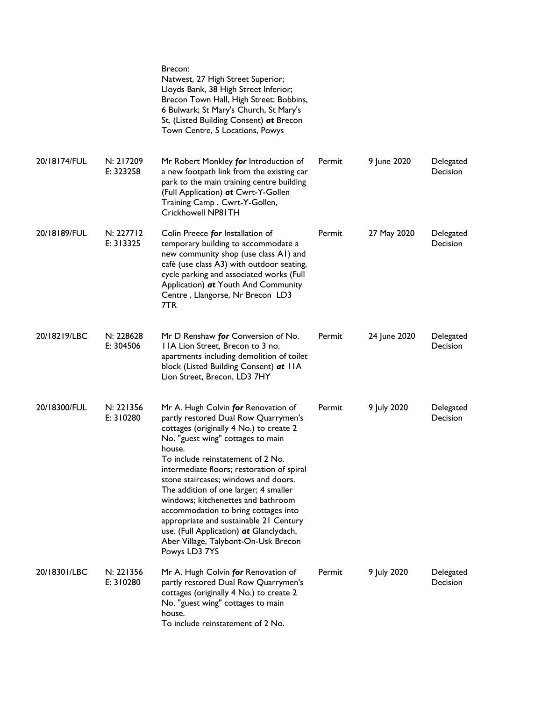|              |                        | Brecon:<br>Natwest, 27 High Street Superior;<br>Lloyds Bank, 38 High Street Inferior;<br>Brecon Town Hall, High Street; Bobbins,<br>6 Bulwark; St Mary's Church, St Mary's<br>St. (Listed Building Consent) at Brecon<br>Town Centre, 5 Locations, Powys                                                                                                                                                                                                                                                                                                              |        |              |                              |
|--------------|------------------------|-----------------------------------------------------------------------------------------------------------------------------------------------------------------------------------------------------------------------------------------------------------------------------------------------------------------------------------------------------------------------------------------------------------------------------------------------------------------------------------------------------------------------------------------------------------------------|--------|--------------|------------------------------|
| 20/18174/FUL | N: 217209<br>E: 323258 | Mr Robert Monkley for Introduction of<br>a new footpath link from the existing car<br>park to the main training centre building<br>(Full Application) at Cwrt-Y-Gollen<br>Training Camp, Cwrt-Y-Gollen,<br>Crickhowell NP81TH                                                                                                                                                                                                                                                                                                                                         | Permit | 9 June 2020  | Delegated<br>Decision        |
| 20/18189/FUL | N: 227712<br>E: 313325 | Colin Preece for Installation of<br>temporary building to accommodate a<br>new community shop (use class A1) and<br>café (use class A3) with outdoor seating,<br>cycle parking and associated works (Full<br>Application) at Youth And Community<br>Centre, Llangorse, Nr Brecon LD3<br>7TR                                                                                                                                                                                                                                                                           | Permit | 27 May 2020  | Delegated<br>Decision        |
| 20/18219/LBC | N: 228628<br>E: 304506 | Mr D Renshaw for Conversion of No.<br>IIA Lion Street, Brecon to 3 no.<br>apartments including demolition of toilet<br>block (Listed Building Consent) at IIA<br>Lion Street, Brecon, LD3 7HY                                                                                                                                                                                                                                                                                                                                                                         | Permit | 24 June 2020 | Delegated<br>Decision        |
| 20/18300/FUL | N: 221356<br>E: 310280 | Mr A. Hugh Colvin for Renovation of<br>partly restored Dual Row Quarrymen's<br>cottages (originally 4 No.) to create 2<br>No. "guest wing" cottages to main<br>house.<br>To include reinstatement of 2 No.<br>intermediate floors; restoration of spiral<br>stone staircases; windows and doors.<br>The addition of one larger; 4 smaller<br>windows; kitchenettes and bathroom<br>accommodation to bring cottages into<br>appropriate and sustainable 21 Century<br>use. (Full Application) at Glanclydach,<br>Aber Village, Talybont-On-Usk Brecon<br>Powys LD3 7YS | Permit | 9 July 2020  | Delegated<br><b>Decision</b> |
| 20/18301/LBC | N: 221356<br>E: 310280 | Mr A. Hugh Colvin for Renovation of<br>partly restored Dual Row Quarrymen's<br>cottages (originally 4 No.) to create 2<br>No. "guest wing" cottages to main<br>house.<br>To include reinstatement of 2 No.                                                                                                                                                                                                                                                                                                                                                            | Permit | 9 July 2020  | Delegated<br><b>Decision</b> |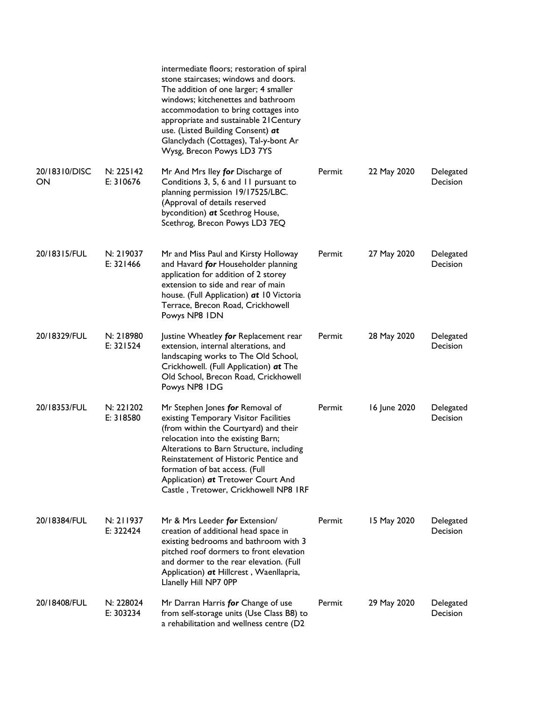|                     |                          | intermediate floors; restoration of spiral<br>stone staircases; windows and doors.<br>The addition of one larger; 4 smaller<br>windows; kitchenettes and bathroom<br>accommodation to bring cottages into<br>appropriate and sustainable 21 Century<br>use. (Listed Building Consent) at<br>Glanclydach (Cottages), Tal-y-bont Ar<br>Wysg, Brecon Powys LD3 7YS |        |              |                              |
|---------------------|--------------------------|-----------------------------------------------------------------------------------------------------------------------------------------------------------------------------------------------------------------------------------------------------------------------------------------------------------------------------------------------------------------|--------|--------------|------------------------------|
| 20/18310/DISC<br>ON | N: 225142<br>E: 310676   | Mr And Mrs Iley for Discharge of<br>Conditions 3, 5, 6 and 11 pursuant to<br>planning permission 19/17525/LBC.<br>(Approval of details reserved<br>bycondition) at Scethrog House,<br>Scethrog, Brecon Powys LD3 7EQ                                                                                                                                            | Permit | 22 May 2020  | Delegated<br><b>Decision</b> |
| 20/18315/FUL        | N: 219037<br>E: $321466$ | Mr and Miss Paul and Kirsty Holloway<br>and Havard for Householder planning<br>application for addition of 2 storey<br>extension to side and rear of main<br>house. (Full Application) at 10 Victoria<br>Terrace, Brecon Road, Crickhowell<br>Powys NP8 IDN                                                                                                     | Permit | 27 May 2020  | Delegated<br><b>Decision</b> |
| 20/18329/FUL        | N: 218980<br>E: 321524   | Justine Wheatley for Replacement rear<br>extension, internal alterations, and<br>landscaping works to The Old School,<br>Crickhowell. (Full Application) at The<br>Old School, Brecon Road, Crickhowell<br>Powys NP8 IDG                                                                                                                                        | Permit | 28 May 2020  | Delegated<br><b>Decision</b> |
| 20/18353/FUL        | N: 221202<br>E: 318580   | Mr Stephen Jones for Removal of<br>existing Temporary Visitor Facilities<br>(from within the Courtyard) and their<br>relocation into the existing Barn;<br>Alterations to Barn Structure, including<br>Reinstatement of Historic Pentice and<br>formation of bat access. (Full<br>Application) at Tretower Court And<br>Castle, Tretower, Crickhowell NP8 IRF   | Permit | 16 June 2020 | Delegated<br>Decision        |
| 20/18384/FUL        | N: 211937<br>E: 322424   | Mr & Mrs Leeder for Extension/<br>creation of additional head space in<br>existing bedrooms and bathroom with 3<br>pitched roof dormers to front elevation<br>and dormer to the rear elevation. (Full<br>Application) at Hillcrest, Waenllapria,<br>Llanelly Hill NP7 OPP                                                                                       | Permit | 15 May 2020  | Delegated<br>Decision        |
| 20/18408/FUL        | N: 228024<br>E: 303234   | Mr Darran Harris for Change of use<br>from self-storage units (Use Class B8) to<br>a rehabilitation and wellness centre (D2                                                                                                                                                                                                                                     | Permit | 29 May 2020  | Delegated<br>Decision        |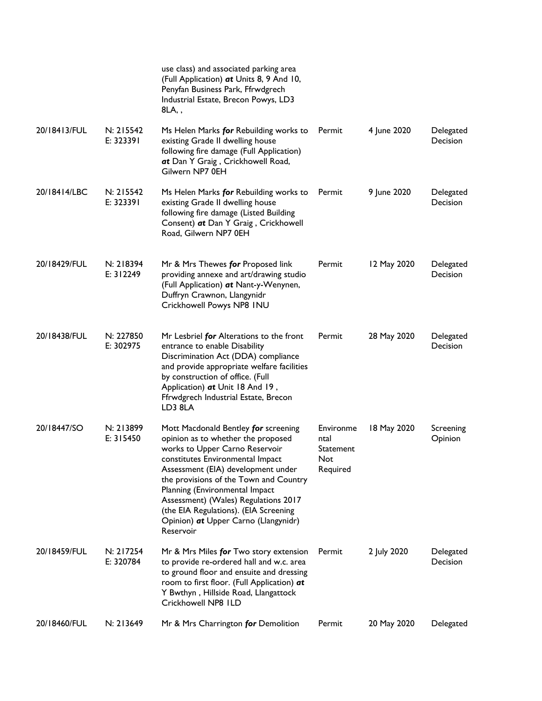|              |                        | use class) and associated parking area<br>(Full Application) at Units 8, 9 And 10,<br>Penyfan Business Park, Ffrwdgrech<br>Industrial Estate, Brecon Powys, LD3<br>8LA,,                                                                                                                                                                                                                                 |                                                   |             |                              |
|--------------|------------------------|----------------------------------------------------------------------------------------------------------------------------------------------------------------------------------------------------------------------------------------------------------------------------------------------------------------------------------------------------------------------------------------------------------|---------------------------------------------------|-------------|------------------------------|
| 20/18413/FUL | N: 215542<br>E: 323391 | Ms Helen Marks for Rebuilding works to<br>existing Grade II dwelling house<br>following fire damage (Full Application)<br>at Dan Y Graig, Crickhowell Road,<br>Gilwern NP7 0EH                                                                                                                                                                                                                           | Permit                                            | 4 June 2020 | Delegated<br>Decision        |
| 20/18414/LBC | N: 215542<br>E: 323391 | Ms Helen Marks for Rebuilding works to<br>existing Grade II dwelling house<br>following fire damage (Listed Building<br>Consent) at Dan Y Graig, Crickhowell<br>Road, Gilwern NP7 0EH                                                                                                                                                                                                                    | Permit                                            | 9 June 2020 | Delegated<br>Decision        |
| 20/18429/FUL | N: 218394<br>E: 312249 | Mr & Mrs Thewes for Proposed link<br>providing annexe and art/drawing studio<br>(Full Application) at Nant-y-Wenynen,<br>Duffryn Crawnon, Llangynidr<br>Crickhowell Powys NP8 INU                                                                                                                                                                                                                        | Permit                                            | 12 May 2020 | Delegated<br><b>Decision</b> |
| 20/18438/FUL | N: 227850<br>E: 302975 | Mr Lesbriel for Alterations to the front<br>entrance to enable Disability<br>Discrimination Act (DDA) compliance<br>and provide appropriate welfare facilities<br>by construction of office. (Full<br>Application) at Unit 18 And 19,<br>Ffrwdgrech Industrial Estate, Brecon<br>LD3 8LA                                                                                                                 | Permit                                            | 28 May 2020 | Delegated<br><b>Decision</b> |
| 20/18447/SO  | N: 213899<br>E: 315450 | Mott Macdonald Bentley for screening<br>opinion as to whether the proposed<br>works to Upper Carno Reservoir<br>constitutes Environmental Impact<br>Assessment (EIA) development under<br>the provisions of the Town and Country<br>Planning (Environmental Impact<br>Assessment) (Wales) Regulations 2017<br>(the EIA Regulations). (EIA Screening<br>Opinion) at Upper Carno (Llangynidr)<br>Reservoir | Environme<br>ntal<br>Statement<br>Not<br>Required | 18 May 2020 | Screening<br>Opinion         |
| 20/18459/FUL | N: 217254<br>E: 320784 | Mr & Mrs Miles for Two story extension<br>to provide re-ordered hall and w.c. area<br>to ground floor and ensuite and dressing<br>room to first floor. (Full Application) at<br>Y Bwthyn, Hillside Road, Llangattock<br>Crickhowell NP8 ILD                                                                                                                                                              | Permit                                            | 2 July 2020 | Delegated<br>Decision        |
| 20/18460/FUL | N: 213649              | Mr & Mrs Charrington for Demolition                                                                                                                                                                                                                                                                                                                                                                      | Permit                                            | 20 May 2020 | Delegated                    |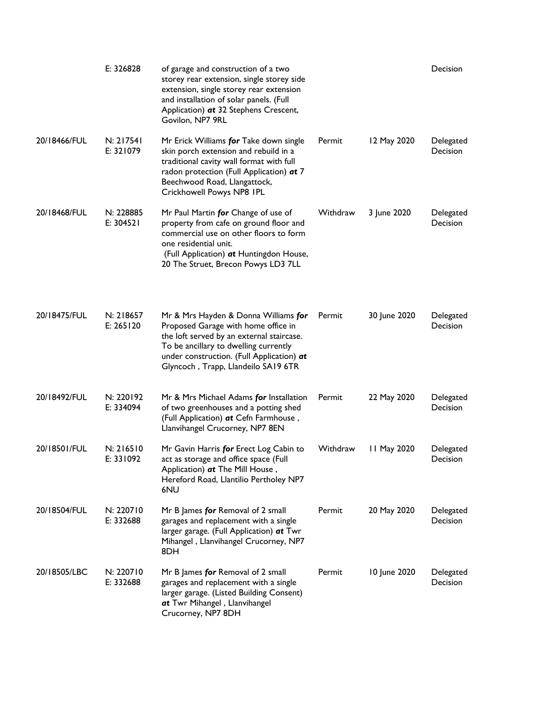|              | E: 326828                | of garage and construction of a two<br>storey rear extension, single storey side<br>extension, single storey rear extension<br>and installation of solar panels. (Full<br>Application) at 32 Stephens Crescent,<br>Govilon, NP7 9RL                   |          |              | Decision                     |
|--------------|--------------------------|-------------------------------------------------------------------------------------------------------------------------------------------------------------------------------------------------------------------------------------------------------|----------|--------------|------------------------------|
| 20/18466/FUL | N: 217541<br>E: 321079   | Mr Erick Williams for Take down single<br>skin porch extension and rebuild in a<br>traditional cavity wall format with full<br>radon protection (Full Application) at 7<br>Beechwood Road, Llangattock,<br>Crickhowell Powys NP8 IPL                  | Permit   | 12 May 2020  | Delegated<br><b>Decision</b> |
| 20/18468/FUL | N: 228885<br>E: 304521   | Mr Paul Martin for Change of use of<br>property from cafe on ground floor and<br>commercial use on other floors to form<br>one residential unit.<br>(Full Application) at Huntingdon House,<br>20 The Struet, Brecon Powys LD3 7LL                    | Withdraw | 3 June 2020  | Delegated<br>Decision        |
| 20/18475/FUL | N: 218657<br>E: $265120$ | Mr & Mrs Hayden & Donna Williams for<br>Proposed Garage with home office in<br>the loft served by an external staircase.<br>To be ancillary to dwelling currently<br>under construction. (Full Application) at<br>Glyncoch, Trapp, Llandeilo SA19 6TR | Permit   | 30 June 2020 | Delegated<br><b>Decision</b> |
| 20/18492/FUL | N: 220192<br>E: 334094   | Mr & Mrs Michael Adams for Installation<br>of two greenhouses and a potting shed<br>(Full Application) at Cefn Farmhouse,<br>Llanvihangel Crucorney, NP7 8EN                                                                                          | Permit   | 22 May 2020  | Delegated<br><b>Decision</b> |
| 20/18501/FUL | N: 216510<br>E: 331092   | Mr Gavin Harris for Erect Log Cabin to<br>act as storage and office space (Full<br>Application) at The Mill House,<br>Hereford Road, Llantilio Pertholey NP7<br>6NU                                                                                   | Withdraw | 11 May 2020  | Delegated<br>Decision        |
| 20/18504/FUL | N: 220710<br>E: 332688   | Mr B James for Removal of 2 small<br>garages and replacement with a single<br>larger garage. (Full Application) at Twr<br>Mihangel, Llanvihangel Crucorney, NP7<br>8DH                                                                                | Permit   | 20 May 2020  | Delegated<br>Decision        |
| 20/18505/LBC | N: 220710<br>E: 332688   | Mr B James for Removal of 2 small<br>garages and replacement with a single<br>larger garage. (Listed Building Consent)<br>at Twr Mihangel, Llanvihangel<br>Crucorney, NP7 8DH                                                                         | Permit   | 10 June 2020 | Delegated<br>Decision        |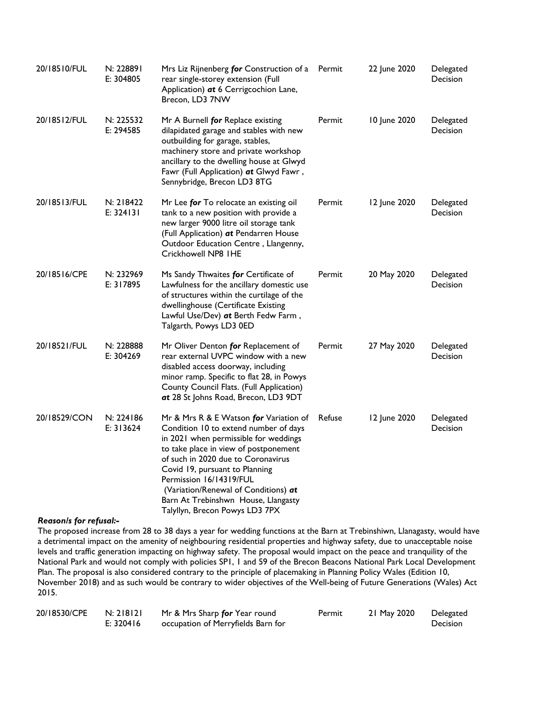| 20/18510/FUL | N: 228891<br>E: 304805   | Mrs Liz Rijnenberg for Construction of a<br>rear single-storey extension (Full<br>Application) at 6 Cerrigcochion Lane,<br>Brecon, LD3 7NW                                                                                                                                                                                                                                            | Permit | 22 June 2020 | Delegated<br>Decision |
|--------------|--------------------------|---------------------------------------------------------------------------------------------------------------------------------------------------------------------------------------------------------------------------------------------------------------------------------------------------------------------------------------------------------------------------------------|--------|--------------|-----------------------|
| 20/18512/FUL | N: 225532<br>E: 294585   | Mr A Burnell for Replace existing<br>dilapidated garage and stables with new<br>outbuilding for garage, stables,<br>machinery store and private workshop<br>ancillary to the dwelling house at Glwyd<br>Fawr (Full Application) at Glwyd Fawr,<br>Sennybridge, Brecon LD3 8TG                                                                                                         | Permit | 10 June 2020 | Delegated<br>Decision |
| 20/18513/FUL | N: 218422<br>E: 324131   | Mr Lee for To relocate an existing oil<br>tank to a new position with provide a<br>new larger 9000 litre oil storage tank<br>(Full Application) at Pendarren House<br>Outdoor Education Centre, Llangenny,<br>Crickhowell NP8 IHE                                                                                                                                                     | Permit | 12 June 2020 | Delegated<br>Decision |
| 20/18516/CPE | N: 232969<br>E: 317895   | Ms Sandy Thwaites for Certificate of<br>Lawfulness for the ancillary domestic use<br>of structures within the curtilage of the<br>dwellinghouse (Certificate Existing<br>Lawful Use/Dev) at Berth Fedw Farm,<br>Talgarth, Powys LD3 0ED                                                                                                                                               | Permit | 20 May 2020  | Delegated<br>Decision |
| 20/18521/FUL | N: 228888<br>E: 304269   | Mr Oliver Denton for Replacement of<br>rear external UVPC window with a new<br>disabled access doorway, including<br>minor ramp. Specific to flat 28, in Powys<br>County Council Flats. (Full Application)<br>at 28 St Johns Road, Brecon, LD3 9DT                                                                                                                                    | Permit | 27 May 2020  | Delegated<br>Decision |
| 20/18529/CON | N: 224186<br>E: $313624$ | Mr & Mrs R & E Watson for Variation of<br>Condition 10 to extend number of days<br>in 2021 when permissible for weddings<br>to take place in view of postponement<br>of such in 2020 due to Coronavirus<br>Covid 19, pursuant to Planning<br>Permission 16/14319/FUL<br>(Variation/Renewal of Conditions) at<br>Barn At Trebinshwn House, Llangasty<br>Talyllyn, Brecon Powys LD3 7PX | Refuse | 12 June 2020 | Delegated<br>Decision |

## *Reason/s for refusal:-*

The proposed increase from 28 to 38 days a year for wedding functions at the Barn at Trebinshiwn, Llanagasty, would have a detrimental impact on the amenity of neighbouring residential properties and highway safety, due to unacceptable noise levels and traffic generation impacting on highway safety. The proposal would impact on the peace and tranquility of the National Park and would not comply with policies SP1, 1 and 59 of the Brecon Beacons National Park Local Development Plan. The proposal is also considered contrary to the principle of placemaking in Planning Policy Wales (Edition 10, November 2018) and as such would be contrary to wider objectives of the Well-being of Future Generations (Wales) Act 2015.

| 20/18530/CPE | N: 218121   | Mr & Mrs Sharp <b>for</b> Year round | Permit | 21 May 2020 | Delegated       |
|--------------|-------------|--------------------------------------|--------|-------------|-----------------|
|              | E: $320416$ | occupation of Merryfields Barn for   |        |             | <b>Decision</b> |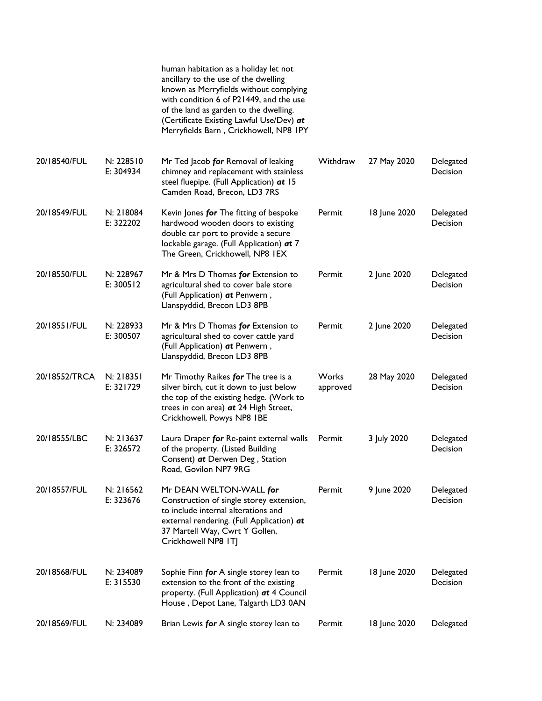|               |                        | human habitation as a holiday let not<br>ancillary to the use of the dwelling<br>known as Merryfields without complying<br>with condition 6 of P21449, and the use<br>of the land as garden to the dwelling.<br>(Certificate Existing Lawful Use/Dev) at<br>Merryfields Barn, Crickhowell, NP8 IPY |                   |              |                              |
|---------------|------------------------|----------------------------------------------------------------------------------------------------------------------------------------------------------------------------------------------------------------------------------------------------------------------------------------------------|-------------------|--------------|------------------------------|
| 20/18540/FUL  | N: 228510<br>E: 304934 | Mr Ted Jacob for Removal of leaking<br>chimney and replacement with stainless<br>steel fluepipe. (Full Application) at 15<br>Camden Road, Brecon, LD3 7RS                                                                                                                                          | Withdraw          | 27 May 2020  | Delegated<br>Decision        |
| 20/18549/FUL  | N: 218084<br>E: 322202 | Kevin Jones for The fitting of bespoke<br>hardwood wooden doors to existing<br>double car port to provide a secure<br>lockable garage. (Full Application) at 7<br>The Green, Crickhowell, NP8 IEX                                                                                                  | Permit            | 18 June 2020 | Delegated<br>Decision        |
| 20/18550/FUL  | N: 228967<br>E: 300512 | Mr & Mrs D Thomas for Extension to<br>agricultural shed to cover bale store<br>(Full Application) at Penwern,<br>Llanspyddid, Brecon LD3 8PB                                                                                                                                                       | Permit            | 2 June 2020  | Delegated<br>Decision        |
| 20/18551/FUL  | N: 228933<br>E: 300507 | Mr & Mrs D Thomas for Extension to<br>agricultural shed to cover cattle yard<br>(Full Application) at Penwern,<br>Llanspyddid, Brecon LD3 8PB                                                                                                                                                      | Permit            | 2 June 2020  | Delegated<br>Decision        |
| 20/18552/TRCA | N: 218351<br>E: 321729 | Mr Timothy Raikes for The tree is a<br>silver birch, cut it down to just below<br>the top of the existing hedge. (Work to<br>trees in con area) at 24 High Street,<br>Crickhowell, Powys NP8 IBE                                                                                                   | Works<br>approved | 28 May 2020  | Delegated<br><b>Decision</b> |
| 20/18555/LBC  | N: 213637<br>E: 326572 | Laura Draper for Re-paint external walls<br>of the property. (Listed Building<br>Consent) at Derwen Deg, Station<br>Road, Govilon NP7 9RG                                                                                                                                                          | Permit            | 3 July 2020  | Delegated<br>Decision        |
| 20/18557/FUL  | N: 216562<br>E: 323676 | Mr DEAN WELTON-WALL for<br>Construction of single storey extension,<br>to include internal alterations and<br>external rendering. (Full Application) at<br>37 Martell Way, Cwrt Y Gollen,<br>Crickhowell NP8 ITJ                                                                                   | Permit            | 9 June 2020  | Delegated<br>Decision        |
| 20/18568/FUL  | N: 234089<br>E: 315530 | Sophie Finn for A single storey lean to<br>extension to the front of the existing<br>property. (Full Application) at 4 Council<br>House, Depot Lane, Talgarth LD3 0AN                                                                                                                              | Permit            | 18 June 2020 | Delegated<br>Decision        |
| 20/18569/FUL  | N: 234089              | Brian Lewis for A single storey lean to                                                                                                                                                                                                                                                            | Permit            | 18 June 2020 | Delegated                    |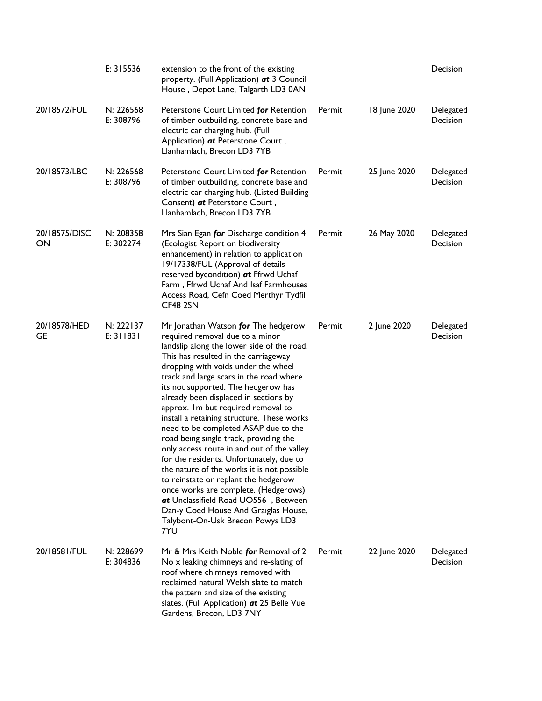|                     | E: 315536              | extension to the front of the existing<br>property. (Full Application) at 3 Council<br>House, Depot Lane, Talgarth LD3 0AN                                                                                                                                                                                                                                                                                                                                                                                                                                                                                                                                                                                                                                                                                                                              |        |              | Decision                     |
|---------------------|------------------------|---------------------------------------------------------------------------------------------------------------------------------------------------------------------------------------------------------------------------------------------------------------------------------------------------------------------------------------------------------------------------------------------------------------------------------------------------------------------------------------------------------------------------------------------------------------------------------------------------------------------------------------------------------------------------------------------------------------------------------------------------------------------------------------------------------------------------------------------------------|--------|--------------|------------------------------|
| 20/18572/FUL        | N: 226568<br>E: 308796 | Peterstone Court Limited for Retention<br>of timber outbuilding, concrete base and<br>electric car charging hub. (Full<br>Application) at Peterstone Court,<br>Llanhamlach, Brecon LD3 7YB                                                                                                                                                                                                                                                                                                                                                                                                                                                                                                                                                                                                                                                              | Permit | 18 June 2020 | Delegated<br>Decision        |
| 20/18573/LBC        | N: 226568<br>E: 308796 | Peterstone Court Limited for Retention<br>of timber outbuilding, concrete base and<br>electric car charging hub. (Listed Building<br>Consent) at Peterstone Court,<br>Llanhamlach, Brecon LD3 7YB                                                                                                                                                                                                                                                                                                                                                                                                                                                                                                                                                                                                                                                       | Permit | 25 June 2020 | Delegated<br><b>Decision</b> |
| 20/18575/DISC<br>ON | N: 208358<br>E: 302274 | Mrs Sian Egan for Discharge condition 4<br>(Ecologist Report on biodiversity<br>enhancement) in relation to application<br>19/17338/FUL (Approval of details<br>reserved bycondition) at Ffrwd Uchaf<br>Farm, Ffrwd Uchaf And Isaf Farmhouses<br>Access Road, Cefn Coed Merthyr Tydfil<br>CF48 2SN                                                                                                                                                                                                                                                                                                                                                                                                                                                                                                                                                      | Permit | 26 May 2020  | Delegated<br>Decision        |
| 20/18578/HED<br>GE  | N: 222137<br>E: 311831 | Mr Jonathan Watson for The hedgerow<br>required removal due to a minor<br>landslip along the lower side of the road.<br>This has resulted in the carriageway<br>dropping with voids under the wheel<br>track and large scars in the road where<br>its not supported. The hedgerow has<br>already been displaced in sections by<br>approx. Im but required removal to<br>install a retaining structure. These works<br>need to be completed ASAP due to the<br>road being single track, providing the<br>only access route in and out of the valley<br>for the residents. Unfortunately, due to<br>the nature of the works it is not possible<br>to reinstate or replant the hedgerow<br>once works are complete. (Hedgerows)<br>at Unclassifield Road UO556, Between<br>Dan-y Coed House And Graiglas House,<br>Talybont-On-Usk Brecon Powys LD3<br>7YU | Permit | 2 June 2020  | Delegated<br>Decision        |
| 20/18581/FUL        | N: 228699<br>E: 304836 | Mr & Mrs Keith Noble for Removal of 2<br>No x leaking chimneys and re-slating of<br>roof where chimneys removed with<br>reclaimed natural Welsh slate to match<br>the pattern and size of the existing<br>slates. (Full Application) at 25 Belle Vue<br>Gardens, Brecon, LD3 7NY                                                                                                                                                                                                                                                                                                                                                                                                                                                                                                                                                                        | Permit | 22 June 2020 | Delegated<br>Decision        |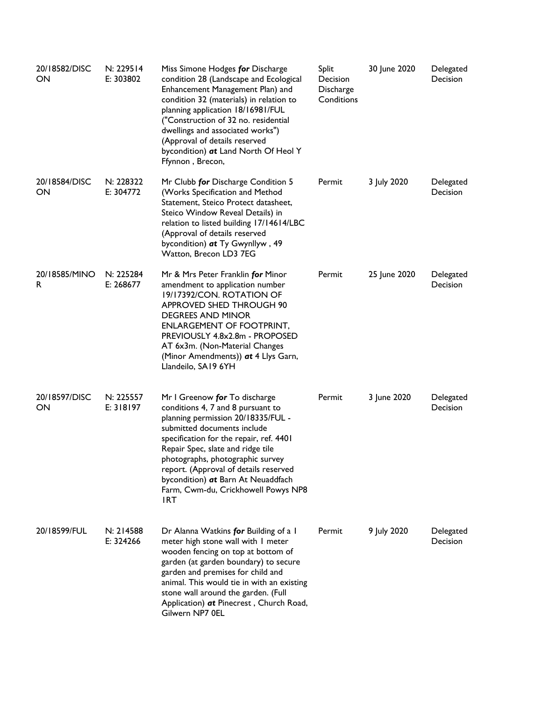| 20/18582/DISC<br>ON | N: 229514<br>E: 303802 | Miss Simone Hodges for Discharge<br>condition 28 (Landscape and Ecological<br>Enhancement Management Plan) and<br>condition 32 (materials) in relation to<br>planning application 18/16981/FUL<br>("Construction of 32 no. residential<br>dwellings and associated works")<br>(Approval of details reserved<br>bycondition) at Land North Of Heol Y<br>Ffynnon, Brecon,                         | Split<br>Decision<br>Discharge<br>Conditions | 30 June 2020 | Delegated<br>Decision |
|---------------------|------------------------|-------------------------------------------------------------------------------------------------------------------------------------------------------------------------------------------------------------------------------------------------------------------------------------------------------------------------------------------------------------------------------------------------|----------------------------------------------|--------------|-----------------------|
| 20/18584/DISC<br>ON | N: 228322<br>E: 304772 | Mr Clubb for Discharge Condition 5<br>(Works Specification and Method<br>Statement, Steico Protect datasheet,<br>Steico Window Reveal Details) in<br>relation to listed building 17/14614/LBC<br>(Approval of details reserved<br>bycondition) at Ty Gwynllyw, 49<br>Watton, Brecon LD3 7EG                                                                                                     | Permit                                       | 3 July 2020  | Delegated<br>Decision |
| 20/18585/MINO<br>R. | N: 225284<br>E: 268677 | Mr & Mrs Peter Franklin for Minor<br>amendment to application number<br>19/17392/CON. ROTATION OF<br>APPROVED SHED THROUGH 90<br><b>DEGREES AND MINOR</b><br><b>ENLARGEMENT OF FOOTPRINT,</b><br>PREVIOUSLY 4.8x2.8m - PROPOSED<br>AT 6x3m. (Non-Material Changes<br>(Minor Amendments)) at 4 Llys Garn,<br>Llandeilo, SA19 6YH                                                                 | Permit                                       | 25 June 2020 | Delegated<br>Decision |
| 20/18597/DISC<br>ON | N: 225557<br>E: 318197 | Mr I Greenow for To discharge<br>conditions 4, 7 and 8 pursuant to<br>planning permission 20/18335/FUL -<br>submitted documents include<br>specification for the repair, ref. 4401<br>Repair Spec, slate and ridge tile<br>photographs, photographic survey<br>report. (Approval of details reserved<br>bycondition) at Barn At Neuaddfach<br>Farm, Cwm-du, Crickhowell Powys NP8<br><b>IRT</b> | Permit                                       | 3 June 2020  | Delegated<br>Decision |
| 20/18599/FUL        | N: 214588<br>E: 324266 | Dr Alanna Watkins for Building of a 1<br>meter high stone wall with I meter<br>wooden fencing on top at bottom of<br>garden (at garden boundary) to secure<br>garden and premises for child and<br>animal. This would tie in with an existing<br>stone wall around the garden. (Full<br>Application) at Pinecrest, Church Road,<br>Gilwern NP7 0EL                                              | Permit                                       | 9 July 2020  | Delegated<br>Decision |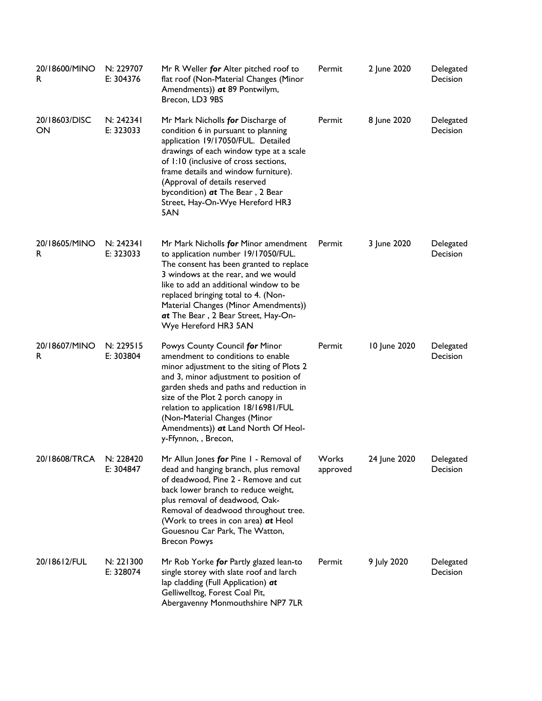| 20/18600/MINO<br>R. | N: 229707<br>E: 304376 | Mr R Weller for Alter pitched roof to<br>flat roof (Non-Material Changes (Minor<br>Amendments)) at 89 Pontwilym,<br>Brecon, LD3 9BS                                                                                                                                                                                                                                               | Permit   | 2 June 2020  | Delegated<br>Decision        |
|---------------------|------------------------|-----------------------------------------------------------------------------------------------------------------------------------------------------------------------------------------------------------------------------------------------------------------------------------------------------------------------------------------------------------------------------------|----------|--------------|------------------------------|
| 20/18603/DISC<br>ON | N: 242341<br>E: 323033 | Mr Mark Nicholls for Discharge of<br>condition 6 in pursuant to planning<br>application 19/17050/FUL. Detailed<br>drawings of each window type at a scale<br>of 1:10 (inclusive of cross sections,<br>frame details and window furniture).<br>(Approval of details reserved<br>bycondition) at The Bear, 2 Bear<br>Street, Hay-On-Wye Hereford HR3<br>5AN                         | Permit   | 8 June 2020  | Delegated<br>Decision        |
| 20/18605/MINO<br>R  | N: 242341<br>E: 323033 | Mr Mark Nicholls for Minor amendment<br>to application number 19/17050/FUL.<br>The consent has been granted to replace<br>3 windows at the rear, and we would<br>like to add an additional window to be<br>replaced bringing total to 4. (Non-<br>Material Changes (Minor Amendments))<br>at The Bear, 2 Bear Street, Hay-On-<br>Wye Hereford HR3 5AN                             | Permit   | 3 June 2020  | Delegated<br><b>Decision</b> |
| 20/18607/MINO<br>R  | N: 229515<br>E: 303804 | Powys County Council for Minor<br>amendment to conditions to enable<br>minor adjustment to the siting of Plots 2<br>and 3, minor adjustment to position of<br>garden sheds and paths and reduction in<br>size of the Plot 2 porch canopy in<br>relation to application 18/16981/FUL<br>(Non-Material Changes (Minor<br>Amendments)) at Land North Of Heol-<br>y-Ffynnon,, Brecon, | Permit   | 10 June 2020 | Delegated<br>Decision        |
| 20/18608/TRCA       | N: 228420<br>E: 304847 | Mr Allun Jones for Pine I - Removal of Works<br>dead and hanging branch, plus removal<br>of deadwood, Pine 2 - Remove and cut<br>back lower branch to reduce weight,<br>plus removal of deadwood, Oak-<br>Removal of deadwood throughout tree.<br>(Work to trees in con area) at Heol<br>Gouesnou Car Park, The Watton,<br><b>Brecon Powys</b>                                    | approved | 24 June 2020 | Delegated<br>Decision        |
| 20/18612/FUL        | N: 221300<br>E: 328074 | Mr Rob Yorke for Partly glazed lean-to<br>single storey with slate roof and larch<br>lap cladding (Full Application) at<br>Gelliwelltog, Forest Coal Pit,<br>Abergavenny Monmouthshire NP7 7LR                                                                                                                                                                                    | Permit   | 9 July 2020  | Delegated<br>Decision        |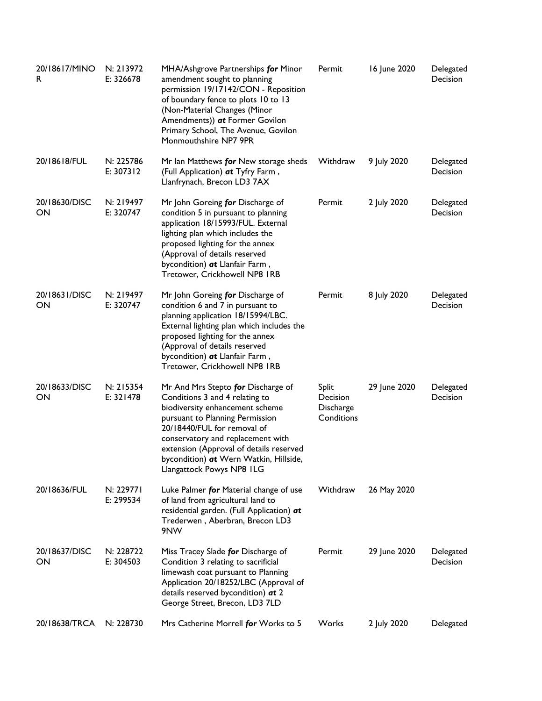| 20/18617/MINO<br>R  | N: 213972<br>E: 326678   | MHA/Ashgrove Partnerships for Minor<br>amendment sought to planning<br>permission 19/17142/CON - Reposition<br>of boundary fence to plots 10 to 13<br>(Non-Material Changes (Minor<br>Amendments)) at Former Govilon<br>Primary School, The Avenue, Govilon<br>Monmouthshire NP7 9PR                                             | Permit                                              | 16 June 2020 | Delegated<br>Decision |
|---------------------|--------------------------|----------------------------------------------------------------------------------------------------------------------------------------------------------------------------------------------------------------------------------------------------------------------------------------------------------------------------------|-----------------------------------------------------|--------------|-----------------------|
| 20/18618/FUL        | N: 225786<br>E: $307312$ | Mr Ian Matthews for New storage sheds<br>(Full Application) at Tyfry Farm,<br>Llanfrynach, Brecon LD3 7AX                                                                                                                                                                                                                        | Withdraw                                            | 9 July 2020  | Delegated<br>Decision |
| 20/18630/DISC<br>ON | N: 219497<br>E: 320747   | Mr John Goreing for Discharge of<br>condition 5 in pursuant to planning<br>application 18/15993/FUL. External<br>lighting plan which includes the<br>proposed lighting for the annex<br>(Approval of details reserved<br>bycondition) at Llanfair Farm,<br>Tretower, Crickhowell NP8 IRB                                         | Permit                                              | 2 July 2020  | Delegated<br>Decision |
| 20/18631/DISC<br>ON | N: 219497<br>E: 320747   | Mr John Goreing for Discharge of<br>condition 6 and 7 in pursuant to<br>planning application 18/15994/LBC.<br>External lighting plan which includes the<br>proposed lighting for the annex<br>(Approval of details reserved<br>bycondition) at Llanfair Farm,<br>Tretower, Crickhowell NP8 IRB                                   | Permit                                              | 8 July 2020  | Delegated<br>Decision |
| 20/18633/DISC<br>ON | N: 215354<br>E: 321478   | Mr And Mrs Stepto for Discharge of<br>Conditions 3 and 4 relating to<br>biodiversity enhancement scheme<br>pursuant to Planning Permission<br>20/18440/FUL for removal of<br>conservatory and replacement with<br>extension (Approval of details reserved<br>bycondition) at Wern Watkin, Hillside,<br>Llangattock Powys NP8 ILG | <b>Split</b><br>Decision<br>Discharge<br>Conditions | 29 June 2020 | Delegated<br>Decision |
| 20/18636/FUL        | N: 229771<br>E: 299534   | Luke Palmer for Material change of use<br>of land from agricultural land to<br>residential garden. (Full Application) at<br>Trederwen, Aberbran, Brecon LD3<br>9NW                                                                                                                                                               | Withdraw                                            | 26 May 2020  |                       |
| 20/18637/DISC<br>ON | N: 228722<br>E: 304503   | Miss Tracey Slade for Discharge of<br>Condition 3 relating to sacrificial<br>limewash coat pursuant to Planning<br>Application 20/18252/LBC (Approval of<br>details reserved bycondition) at 2<br>George Street, Brecon, LD3 7LD                                                                                                 | Permit                                              | 29 June 2020 | Delegated<br>Decision |
| 20/18638/TRCA       | N: 228730                | Mrs Catherine Morrell for Works to 5                                                                                                                                                                                                                                                                                             | Works                                               | 2 July 2020  | Delegated             |